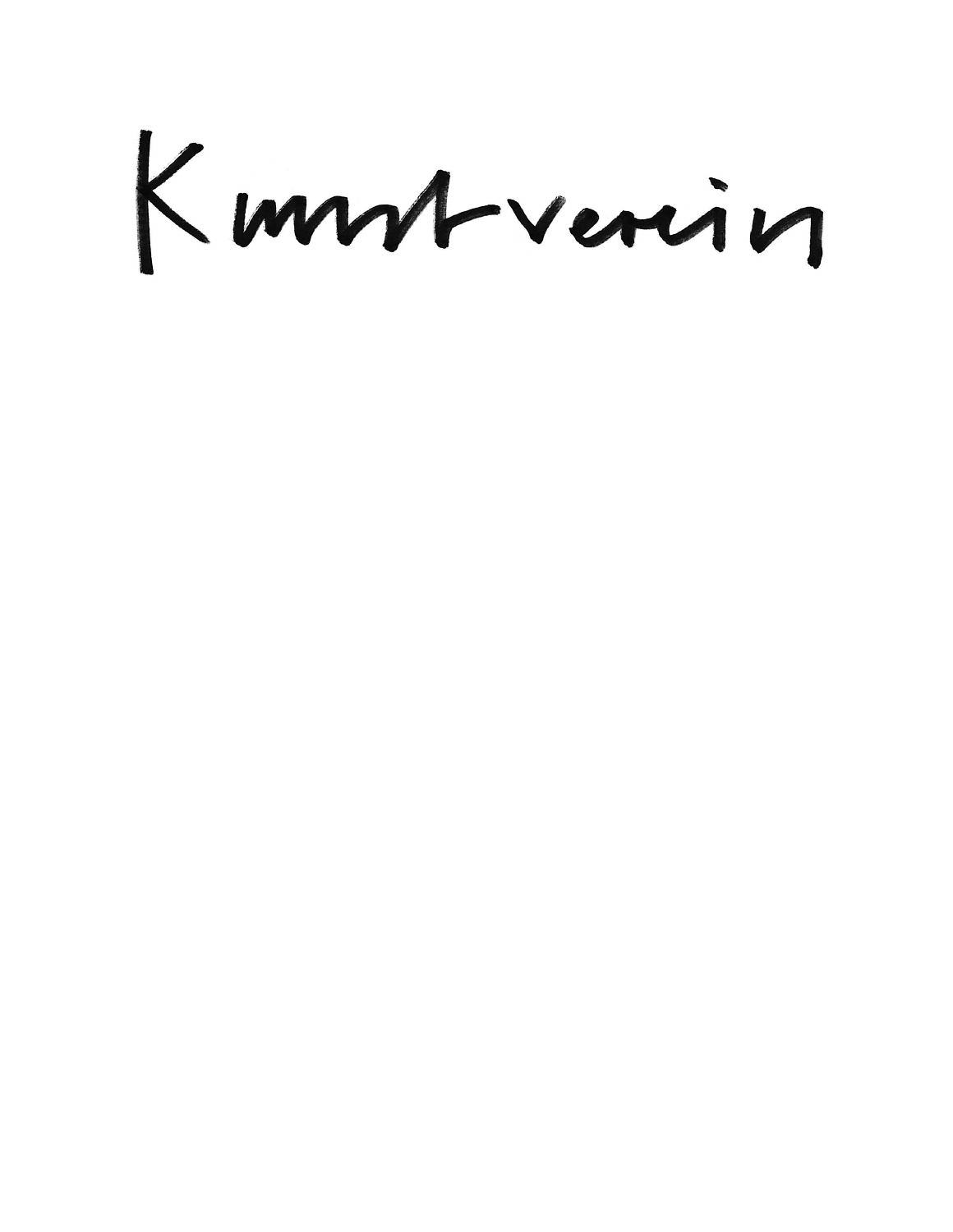Kummrverin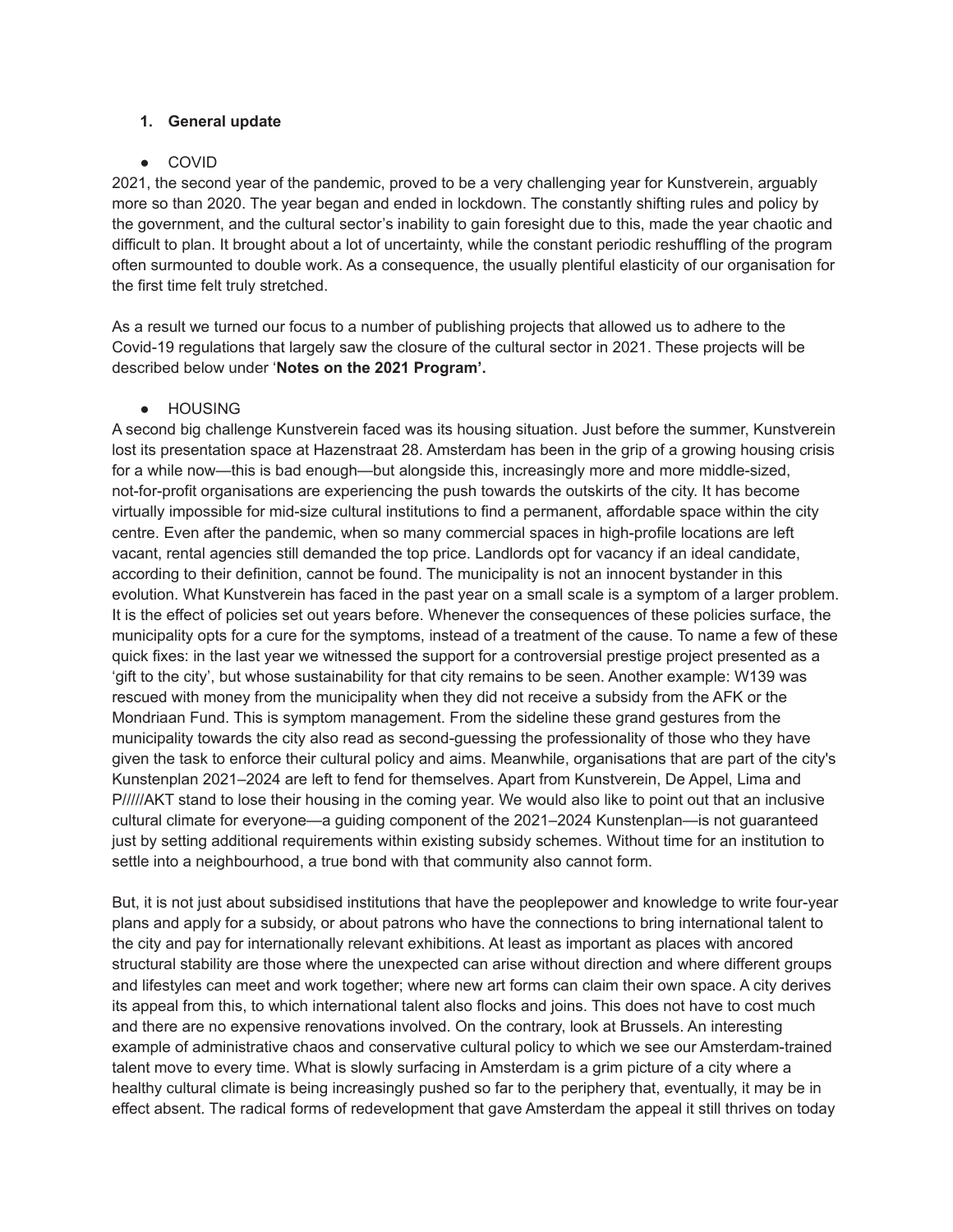## **1. General update**

# ● COVID

2021, the second year of the pandemic, proved to be a very challenging year for Kunstverein, arguably more so than 2020. The year began and ended in lockdown. The constantly shifting rules and policy by the government, and the cultural sector's inability to gain foresight due to this, made the year chaotic and difficult to plan. It brought about a lot of uncertainty, while the constant periodic reshuffling of the program often surmounted to double work. As a consequence, the usually plentiful elasticity of our organisation for the first time felt truly stretched.

As a result we turned our focus to a number of publishing projects that allowed us to adhere to the Covid-19 regulations that largely saw the closure of the cultural sector in 2021. These projects will be described below under '**Notes on the 2021 Program'.**

● HOUSING

A second big challenge Kunstverein faced was its housing situation. Just before the summer, Kunstverein lost its presentation space at Hazenstraat 28. Amsterdam has been in the grip of a growing housing crisis for a while now—this is bad enough—but alongside this, increasingly more and more middle-sized, not-for-profit organisations are experiencing the push towards the outskirts of the city. It has become virtually impossible for mid-size cultural institutions to find a permanent, affordable space within the city centre. Even after the pandemic, when so many commercial spaces in high-profile locations are left vacant, rental agencies still demanded the top price. Landlords opt for vacancy if an ideal candidate, according to their definition, cannot be found. The municipality is not an innocent bystander in this evolution. What Kunstverein has faced in the past year on a small scale is a symptom of a larger problem. It is the effect of policies set out years before. Whenever the consequences of these policies surface, the municipality opts for a cure for the symptoms, instead of a treatment of the cause. To name a few of these quick fixes: in the last year we witnessed the support for a controversial prestige project presented as a 'gift to the city', but whose sustainability for that city remains to be seen. Another example: W139 was rescued with money from the municipality when they did not receive a subsidy from the AFK or the Mondriaan Fund. This is symptom management. From the sideline these grand gestures from the municipality towards the city also read as second-guessing the professionality of those who they have given the task to enforce their cultural policy and aims. Meanwhile, organisations that are part of the city's Kunstenplan 2021–2024 are left to fend for themselves. Apart from Kunstverein, De Appel, Lima and P/////AKT stand to lose their housing in the coming year. We would also like to point out that an inclusive cultural climate for everyone—a guiding component of the 2021–2024 Kunstenplan—is not guaranteed just by setting additional requirements within existing subsidy schemes. Without time for an institution to settle into a neighbourhood, a true bond with that community also cannot form.

But, it is not just about subsidised institutions that have the peoplepower and knowledge to write four-year plans and apply for a subsidy, or about patrons who have the connections to bring international talent to the city and pay for internationally relevant exhibitions. At least as important as places with ancored structural stability are those where the unexpected can arise without direction and where different groups and lifestyles can meet and work together; where new art forms can claim their own space. A city derives its appeal from this, to which international talent also flocks and joins. This does not have to cost much and there are no expensive renovations involved. On the contrary, look at Brussels. An interesting example of administrative chaos and conservative cultural policy to which we see our Amsterdam-trained talent move to every time. What is slowly surfacing in Amsterdam is a grim picture of a city where a healthy cultural climate is being increasingly pushed so far to the periphery that, eventually, it may be in effect absent. The radical forms of redevelopment that gave Amsterdam the appeal it still thrives on today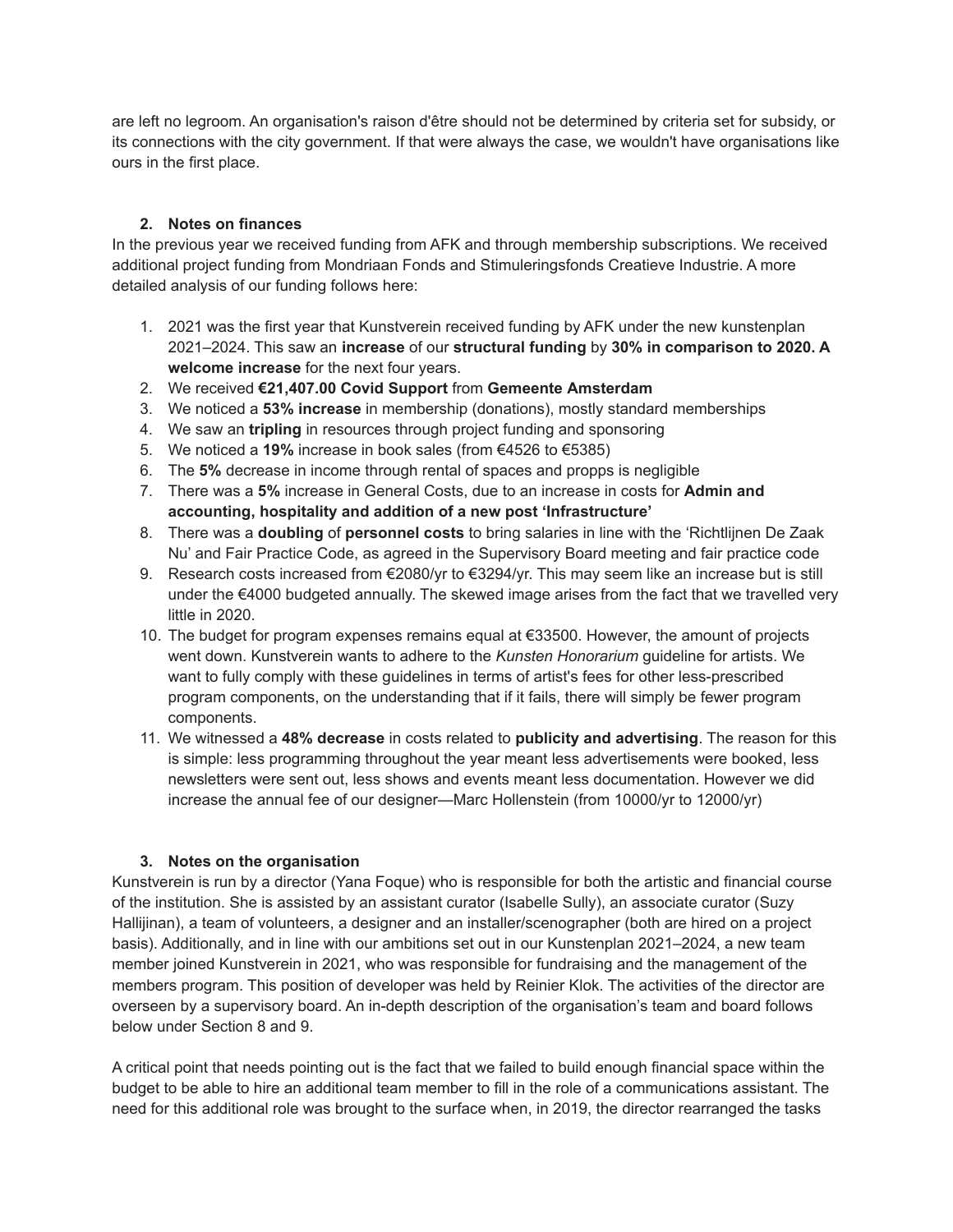are left no legroom. An organisation's raison d'être should not be determined by criteria set for subsidy, or its connections with the city government. If that were always the case, we wouldn't have organisations like ours in the first place.

# **2. Notes on finances**

In the previous year we received funding from AFK and through membership subscriptions. We received additional project funding from Mondriaan Fonds and Stimuleringsfonds Creatieve Industrie. A more detailed analysis of our funding follows here:

- 1. 2021 was the first year that Kunstverein received funding by AFK under the new kunstenplan 2021–2024. This saw an **increase** of our **structural funding** by **30% in comparison to 2020. A welcome increase** for the next four years.
- 2. We received **€21,407.00 Covid Support** from **Gemeente Amsterdam**
- 3. We noticed a **53% increase** in membership (donations), mostly standard memberships
- 4. We saw an **tripling** in resources through project funding and sponsoring
- 5. We noticed a **19%** increase in book sales (from €4526 to €5385)
- 6. The **5%** decrease in income through rental of spaces and propps is negligible
- 7. There was a **5%** increase in General Costs, due to an increase in costs for **Admin and accounting, hospitality and addition of a new post 'Infrastructure'**
- 8. There was a **doubling** of **personnel costs** to bring salaries in line with the 'Richtlijnen De Zaak Nu' and Fair Practice Code, as agreed in the Supervisory Board meeting and fair practice code
- 9. Research costs increased from €2080/yr to €3294/yr. This may seem like an increase but is still under the €4000 budgeted annually. The skewed image arises from the fact that we travelled very little in 2020.
- 10. The budget for program expenses remains equal at €33500. However, the amount of projects went down. Kunstverein wants to adhere to the *Kunsten Honorarium* guideline for artists. We want to fully comply with these guidelines in terms of artist's fees for other less-prescribed program components, on the understanding that if it fails, there will simply be fewer program components.
- 11. We witnessed a **48% decrease** in costs related to **publicity and advertising**. The reason for this is simple: less programming throughout the year meant less advertisements were booked, less newsletters were sent out, less shows and events meant less documentation. However we did increase the annual fee of our designer—Marc Hollenstein (from 10000/yr to 12000/yr)

# **3. Notes on the organisation**

Kunstverein is run by a director (Yana Foque) who is responsible for both the artistic and financial course of the institution. She is assisted by an assistant curator (Isabelle Sully), an associate curator (Suzy Hallijinan), a team of volunteers, a designer and an installer/scenographer (both are hired on a project basis). Additionally, and in line with our ambitions set out in our Kunstenplan 2021–2024, a new team member joined Kunstverein in 2021, who was responsible for fundraising and the management of the members program. This position of developer was held by Reinier Klok. The activities of the director are overseen by a supervisory board. An in-depth description of the organisation's team and board follows below under Section 8 and 9.

A critical point that needs pointing out is the fact that we failed to build enough financial space within the budget to be able to hire an additional team member to fill in the role of a communications assistant. The need for this additional role was brought to the surface when, in 2019, the director rearranged the tasks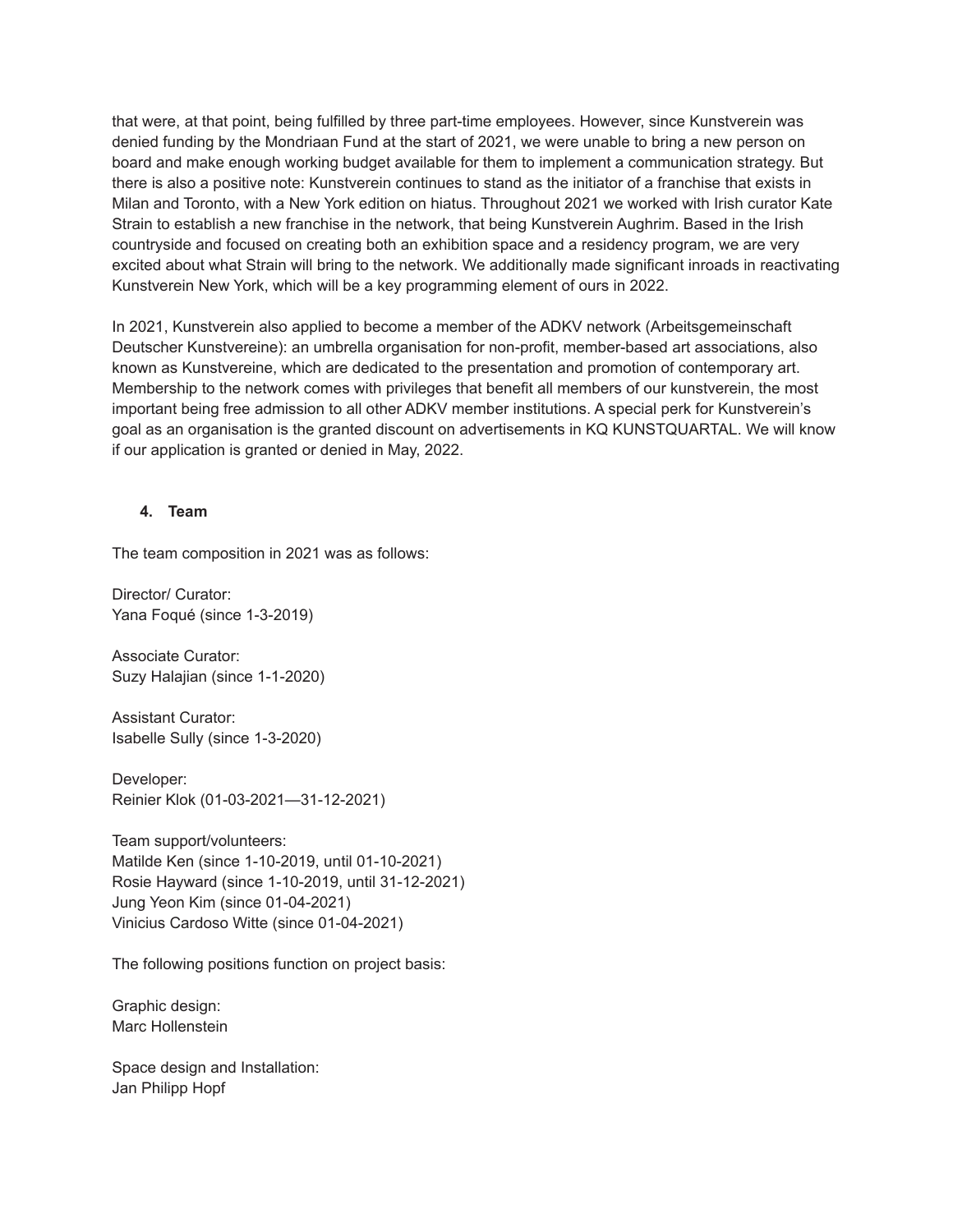that were, at that point, being fulfilled by three part-time employees. However, since Kunstverein was denied funding by the Mondriaan Fund at the start of 2021, we were unable to bring a new person on board and make enough working budget available for them to implement a communication strategy. But there is also a positive note: Kunstverein continues to stand as the initiator of a franchise that exists in Milan and Toronto, with a New York edition on hiatus. Throughout 2021 we worked with Irish curator Kate Strain to establish a new franchise in the network, that being Kunstverein Aughrim. Based in the Irish countryside and focused on creating both an exhibition space and a residency program, we are very excited about what Strain will bring to the network. We additionally made significant inroads in reactivating Kunstverein New York, which will be a key programming element of ours in 2022.

In 2021, Kunstverein also applied to become a member of the ADKV network (Arbeitsgemeinschaft Deutscher Kunstvereine): an umbrella organisation for non-profit, member-based art associations, also known as Kunstvereine, which are dedicated to the presentation and promotion of contemporary art. Membership to the network comes with privileges that benefit all members of our kunstverein, the most important being free admission to all other ADKV member institutions. A special perk for Kunstverein's goal as an organisation is the granted discount on advertisements in KQ KUNSTQUARTAL. We will know if our application is granted or denied in May, 2022.

### **4. Team**

The team composition in 2021 was as follows:

Director/ Curator: Yana Foqué (since 1-3-2019)

Associate Curator: Suzy Halajian (since 1-1-2020)

Assistant Curator: Isabelle Sully (since 1-3-2020)

Developer: Reinier Klok (01-03-2021—31-12-2021)

Team support/volunteers: Matilde Ken (since 1-10-2019, until 01-10-2021) Rosie Hayward (since 1-10-2019, until 31-12-2021) Jung Yeon Kim (since 01-04-2021) Vinicius Cardoso Witte (since 01-04-2021)

The following positions function on project basis:

Graphic design: Marc Hollenstein

Space design and Installation: Jan Philipp Hopf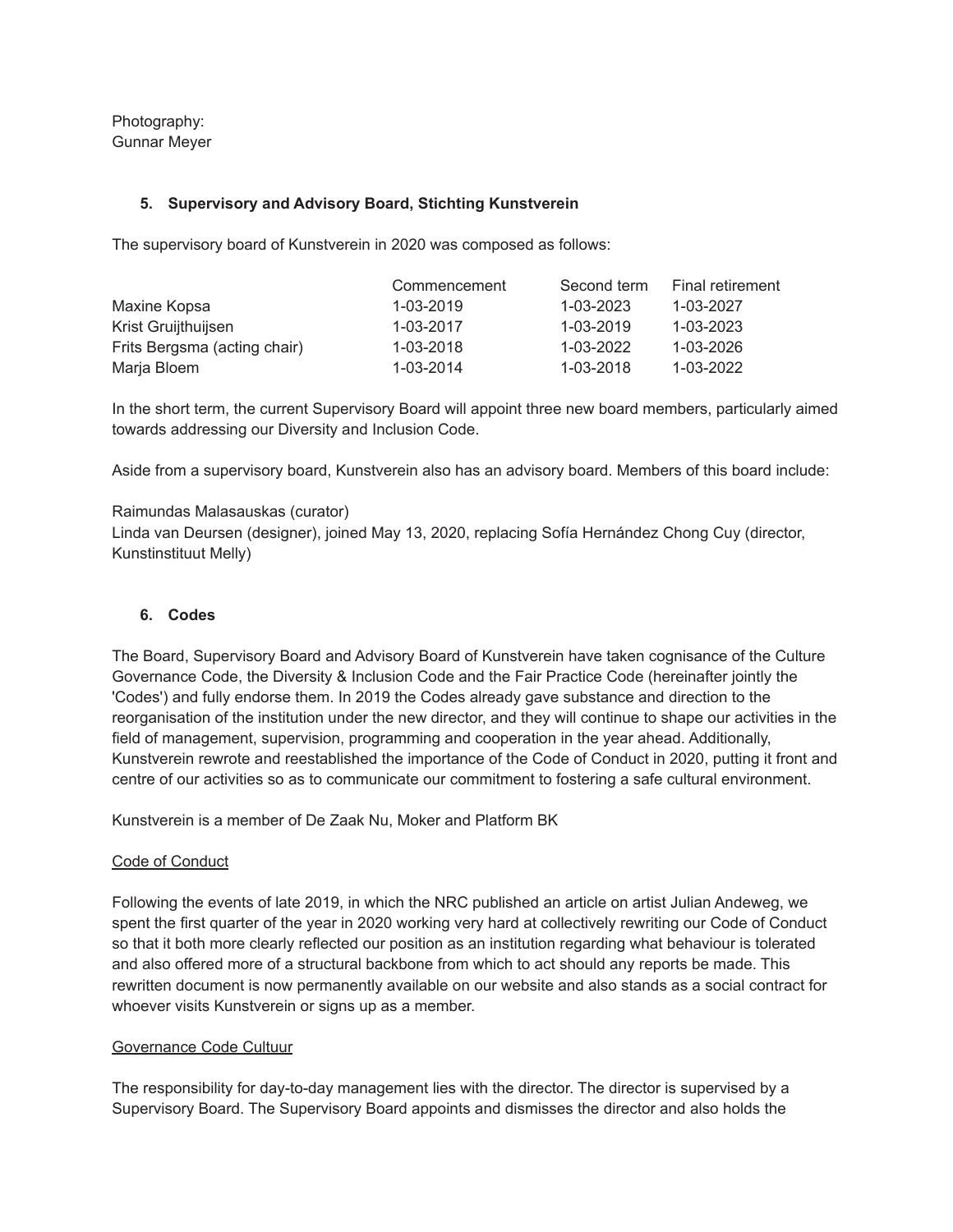Photography: Gunnar Meyer

### **5. Supervisory and Advisory Board, Stichting Kunstverein**

The supervisory board of Kunstverein in 2020 was composed as follows:

|                              | Commencement | Second term     | <b>Final retirement</b> |
|------------------------------|--------------|-----------------|-------------------------|
| Maxine Kopsa                 | 1-03-2019    | $1 - 03 - 2023$ | $1 - 03 - 2027$         |
| Krist Gruijthuijsen          | 1-03-2017    | $1 - 03 - 2019$ | 1-03-2023               |
| Frits Bergsma (acting chair) | 1-03-2018    | 1-03-2022       | 1-03-2026               |
| Marja Bloem                  | 1-03-2014    | 1-03-2018       | 1-03-2022               |

In the short term, the current Supervisory Board will appoint three new board members, particularly aimed towards addressing our Diversity and Inclusion Code.

Aside from a supervisory board, Kunstverein also has an advisory board. Members of this board include:

Raimundas Malasauskas (curator)

Linda van Deursen (designer), joined May 13, 2020, replacing Sofía Hernández Chong Cuy (director, Kunstinstituut Melly)

## **6. Codes**

The Board, Supervisory Board and Advisory Board of Kunstverein have taken cognisance of the Culture Governance Code, the Diversity & Inclusion Code and the Fair Practice Code (hereinafter jointly the 'Codes') and fully endorse them. In 2019 the Codes already gave substance and direction to the reorganisation of the institution under the new director, and they will continue to shape our activities in the field of management, supervision, programming and cooperation in the year ahead. Additionally, Kunstverein rewrote and reestablished the importance of the Code of Conduct in 2020, putting it front and centre of our activities so as to communicate our commitment to fostering a safe cultural environment.

Kunstverein is a member of De Zaak Nu, Moker and Platform BK

### Code of Conduct

Following the events of late 2019, in which the NRC published an article on artist Julian Andeweg, we spent the first quarter of the year in 2020 working very hard at collectively rewriting our Code of Conduct so that it both more clearly reflected our position as an institution regarding what behaviour is tolerated and also offered more of a structural backbone from which to act should any reports be made. This rewritten document is now permanently available on our website and also stands as a social contract for whoever visits Kunstverein or signs up as a member.

### Governance Code Cultuur

The responsibility for day-to-day management lies with the director. The director is supervised by a Supervisory Board. The Supervisory Board appoints and dismisses the director and also holds the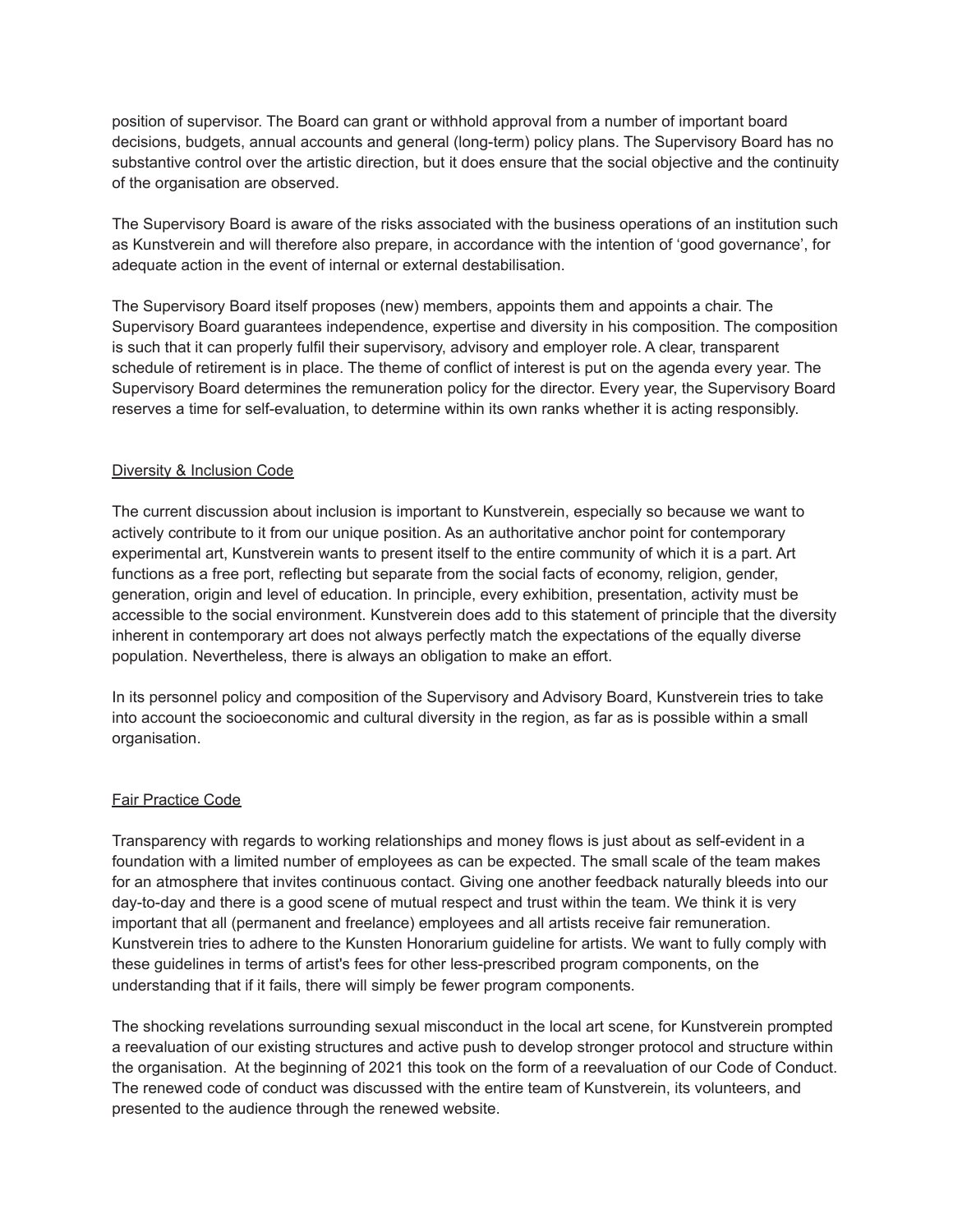position of supervisor. The Board can grant or withhold approval from a number of important board decisions, budgets, annual accounts and general (long-term) policy plans. The Supervisory Board has no substantive control over the artistic direction, but it does ensure that the social objective and the continuity of the organisation are observed.

The Supervisory Board is aware of the risks associated with the business operations of an institution such as Kunstverein and will therefore also prepare, in accordance with the intention of 'good governance', for adequate action in the event of internal or external destabilisation.

The Supervisory Board itself proposes (new) members, appoints them and appoints a chair. The Supervisory Board guarantees independence, expertise and diversity in his composition. The composition is such that it can properly fulfil their supervisory, advisory and employer role. A clear, transparent schedule of retirement is in place. The theme of conflict of interest is put on the agenda every year. The Supervisory Board determines the remuneration policy for the director. Every year, the Supervisory Board reserves a time for self-evaluation, to determine within its own ranks whether it is acting responsibly.

# Diversity & Inclusion Code

The current discussion about inclusion is important to Kunstverein, especially so because we want to actively contribute to it from our unique position. As an authoritative anchor point for contemporary experimental art, Kunstverein wants to present itself to the entire community of which it is a part. Art functions as a free port, reflecting but separate from the social facts of economy, religion, gender, generation, origin and level of education. In principle, every exhibition, presentation, activity must be accessible to the social environment. Kunstverein does add to this statement of principle that the diversity inherent in contemporary art does not always perfectly match the expectations of the equally diverse population. Nevertheless, there is always an obligation to make an effort.

In its personnel policy and composition of the Supervisory and Advisory Board, Kunstverein tries to take into account the socioeconomic and cultural diversity in the region, as far as is possible within a small organisation.

# Fair Practice Code

Transparency with regards to working relationships and money flows is just about as self-evident in a foundation with a limited number of employees as can be expected. The small scale of the team makes for an atmosphere that invites continuous contact. Giving one another feedback naturally bleeds into our day-to-day and there is a good scene of mutual respect and trust within the team. We think it is very important that all (permanent and freelance) employees and all artists receive fair remuneration. Kunstverein tries to adhere to the Kunsten Honorarium guideline for artists. We want to fully comply with these guidelines in terms of artist's fees for other less-prescribed program components, on the understanding that if it fails, there will simply be fewer program components.

The shocking revelations surrounding sexual misconduct in the local art scene, for Kunstverein prompted a reevaluation of our existing structures and active push to develop stronger protocol and structure within the organisation. At the beginning of 2021 this took on the form of a reevaluation of our Code of Conduct. The renewed code of conduct was discussed with the entire team of Kunstverein, its volunteers, and presented to the audience through the renewed website.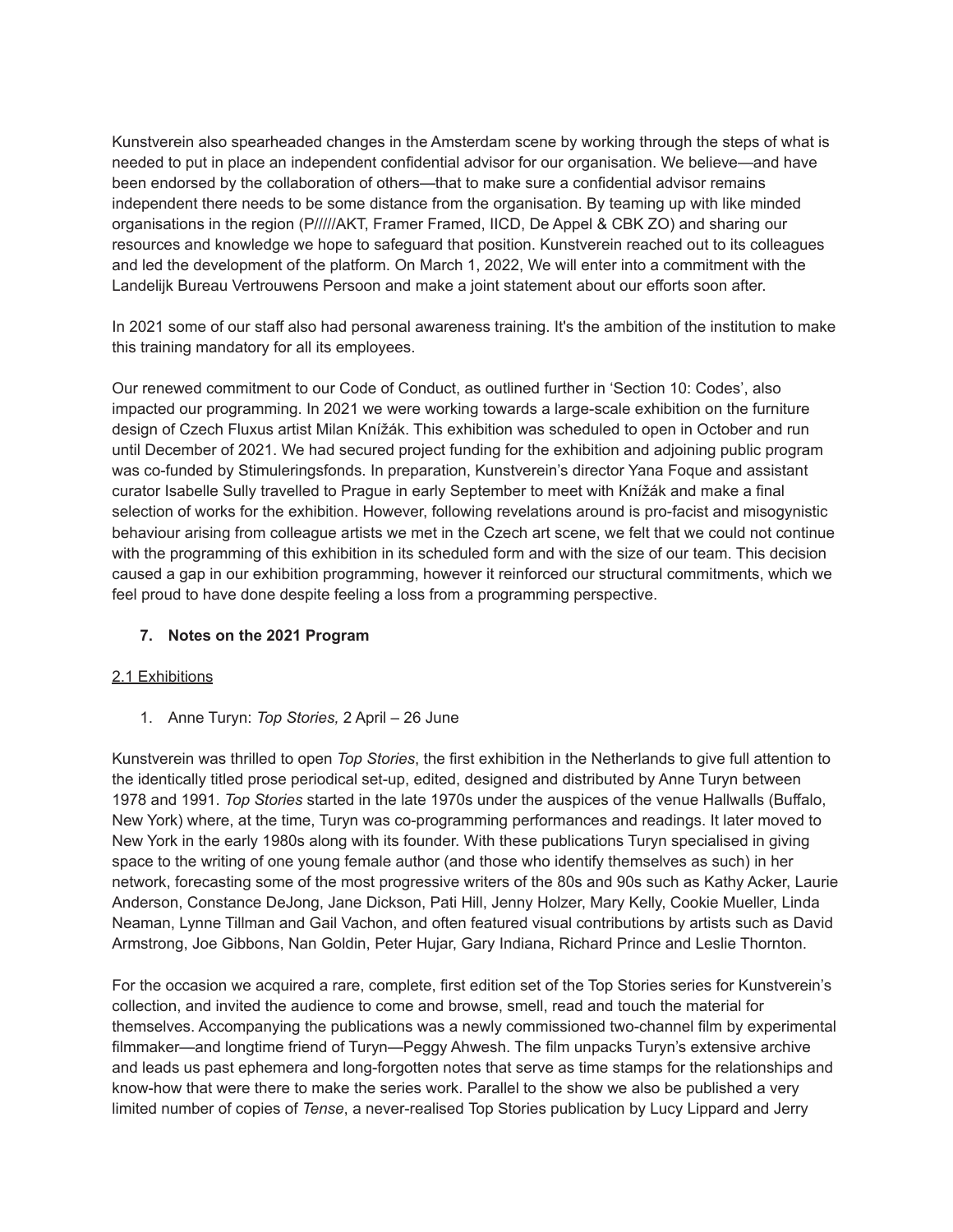Kunstverein also spearheaded changes in the Amsterdam scene by working through the steps of what is needed to put in place an independent confidential advisor for our organisation. We believe—and have been endorsed by the collaboration of others—that to make sure a confidential advisor remains independent there needs to be some distance from the organisation. By teaming up with like minded organisations in the region (P/////AKT, Framer Framed, IICD, De Appel & CBK ZO) and sharing our resources and knowledge we hope to safeguard that position. Kunstverein reached out to its colleagues and led the development of the platform. On March 1, 2022, We will enter into a commitment with the Landelijk Bureau Vertrouwens Persoon and make a joint statement about our efforts soon after.

In 2021 some of our staff also had personal awareness training. It's the ambition of the institution to make this training mandatory for all its employees.

Our renewed commitment to our Code of Conduct, as outlined further in 'Section 10: Codes', also impacted our programming. In 2021 we were working towards a large-scale exhibition on the furniture design of Czech Fluxus artist Milan Knížák. This exhibition was scheduled to open in October and run until December of 2021. We had secured project funding for the exhibition and adjoining public program was co-funded by Stimuleringsfonds. In preparation, Kunstverein's director Yana Foque and assistant curator Isabelle Sully travelled to Prague in early September to meet with Knížák and make a final selection of works for the exhibition. However, following revelations around is pro-facist and misogynistic behaviour arising from colleague artists we met in the Czech art scene, we felt that we could not continue with the programming of this exhibition in its scheduled form and with the size of our team. This decision caused a gap in our exhibition programming, however it reinforced our structural commitments, which we feel proud to have done despite feeling a loss from a programming perspective.

# **7. Notes on the 2021 Program**

### 2.1 Exhibitions

1. Anne Turyn: *Top Stories,* 2 April – 26 June

Kunstverein was thrilled to open *Top Stories*, the first exhibition in the Netherlands to give full attention to the identically titled prose periodical set-up, edited, designed and distributed by Anne Turyn between 1978 and 1991. *Top Stories* started in the late 1970s under the auspices of the venue Hallwalls (Buffalo, New York) where, at the time, Turyn was co-programming performances and readings. It later moved to New York in the early 1980s along with its founder. With these publications Turyn specialised in giving space to the writing of one young female author (and those who identify themselves as such) in her network, forecasting some of the most progressive writers of the 80s and 90s such as Kathy Acker, Laurie Anderson, Constance DeJong, Jane Dickson, Pati Hill, Jenny Holzer, Mary Kelly, Cookie Mueller, Linda Neaman, Lynne Tillman and Gail Vachon, and often featured visual contributions by artists such as David Armstrong, Joe Gibbons, Nan Goldin, Peter Hujar, Gary Indiana, Richard Prince and Leslie Thornton.

For the occasion we acquired a rare, complete, first edition set of the Top Stories series for Kunstverein's collection, and invited the audience to come and browse, smell, read and touch the material for themselves. Accompanying the publications was a newly commissioned two-channel film by experimental filmmaker—and longtime friend of Turyn—Peggy Ahwesh. The film unpacks Turyn's extensive archive and leads us past ephemera and long-forgotten notes that serve as time stamps for the relationships and know-how that were there to make the series work. Parallel to the show we also be published a very limited number of copies of *Tense*, a never-realised Top Stories publication by Lucy Lippard and Jerry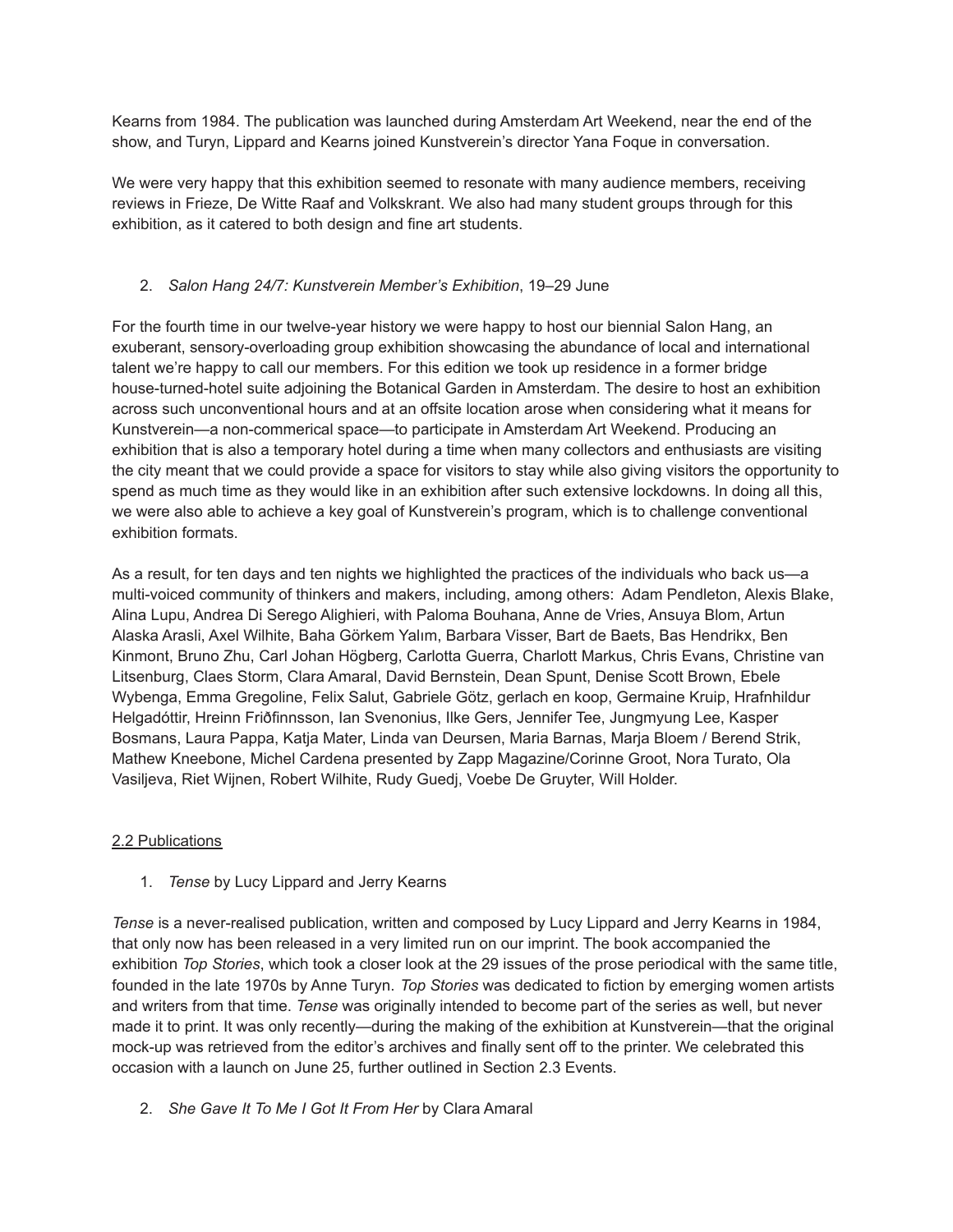Kearns from 1984. The publication was launched during Amsterdam Art Weekend, near the end of the show, and Turyn, Lippard and Kearns joined Kunstverein's director Yana Foque in conversation.

We were very happy that this exhibition seemed to resonate with many audience members, receiving reviews in Frieze, De Witte Raaf and Volkskrant. We also had many student groups through for this exhibition, as it catered to both design and fine art students.

# 2. *Salon Hang 24/7: Kunstverein Member's Exhibition*, 19–29 June

For the fourth time in our twelve-year history we were happy to host our biennial Salon Hang, an exuberant, sensory-overloading group exhibition showcasing the abundance of local and international talent we're happy to call our members. For this edition we took up residence in a former bridge house-turned-hotel suite adjoining the Botanical Garden in Amsterdam. The desire to host an exhibition across such unconventional hours and at an offsite location arose when considering what it means for Kunstverein—a non-commerical space—to participate in Amsterdam Art Weekend. Producing an exhibition that is also a temporary hotel during a time when many collectors and enthusiasts are visiting the city meant that we could provide a space for visitors to stay while also giving visitors the opportunity to spend as much time as they would like in an exhibition after such extensive lockdowns. In doing all this, we were also able to achieve a key goal of Kunstverein's program, which is to challenge conventional exhibition formats.

As a result, for ten days and ten nights we highlighted the practices of the individuals who back us—a multi-voiced community of thinkers and makers, including, among others: Adam Pendleton, Alexis Blake, Alina Lupu, Andrea Di Serego Alighieri, with Paloma Bouhana, Anne de Vries, Ansuya Blom, Artun Alaska Arasli, Axel Wilhite, Baha Görkem Yalım, Barbara Visser, Bart de Baets, Bas Hendrikx, Ben Kinmont, Bruno Zhu, Carl Johan Högberg, Carlotta Guerra, Charlott Markus, Chris Evans, Christine van Litsenburg, Claes Storm, Clara Amaral, David Bernstein, Dean Spunt, Denise Scott Brown, Ebele Wybenga, Emma Gregoline, Felix Salut, Gabriele Götz, gerlach en koop, Germaine Kruip, Hrafnhildur Helgadóttir, Hreinn Friðfinnsson, Ian Svenonius, Ilke Gers, Jennifer Tee, Jungmyung Lee, Kasper Bosmans, Laura Pappa, Katja Mater, Linda van Deursen, Maria Barnas, Marja Bloem / Berend Strik, Mathew Kneebone, Michel Cardena presented by Zapp Magazine/Corinne Groot, Nora Turato, Ola Vasiljeva, Riet Wijnen, Robert Wilhite, Rudy Guedj, Voebe De Gruyter, Will Holder.

# 2.2 Publications

1. *Tense* by Lucy Lippard and Jerry Kearns

*Tense* is a never-realised publication, written and composed by Lucy Lippard and Jerry Kearns in 1984, that only now has been released in a very limited run on our imprint. The book accompanied the exhibition *Top Stories*, which took a closer look at the 29 issues of the prose periodical with the same title, founded in the late 1970s by Anne Turyn. *Top Stories* was dedicated to fiction by emerging women artists and writers from that time. *Tense* was originally intended to become part of the series as well, but never made it to print. It was only recently—during the making of the exhibition at Kunstverein—that the original mock-up was retrieved from the editor's archives and finally sent off to the printer. We celebrated this occasion with a launch on June 25, further outlined in Section 2.3 Events.

2. *She Gave It To Me I Got It From Her* by Clara Amaral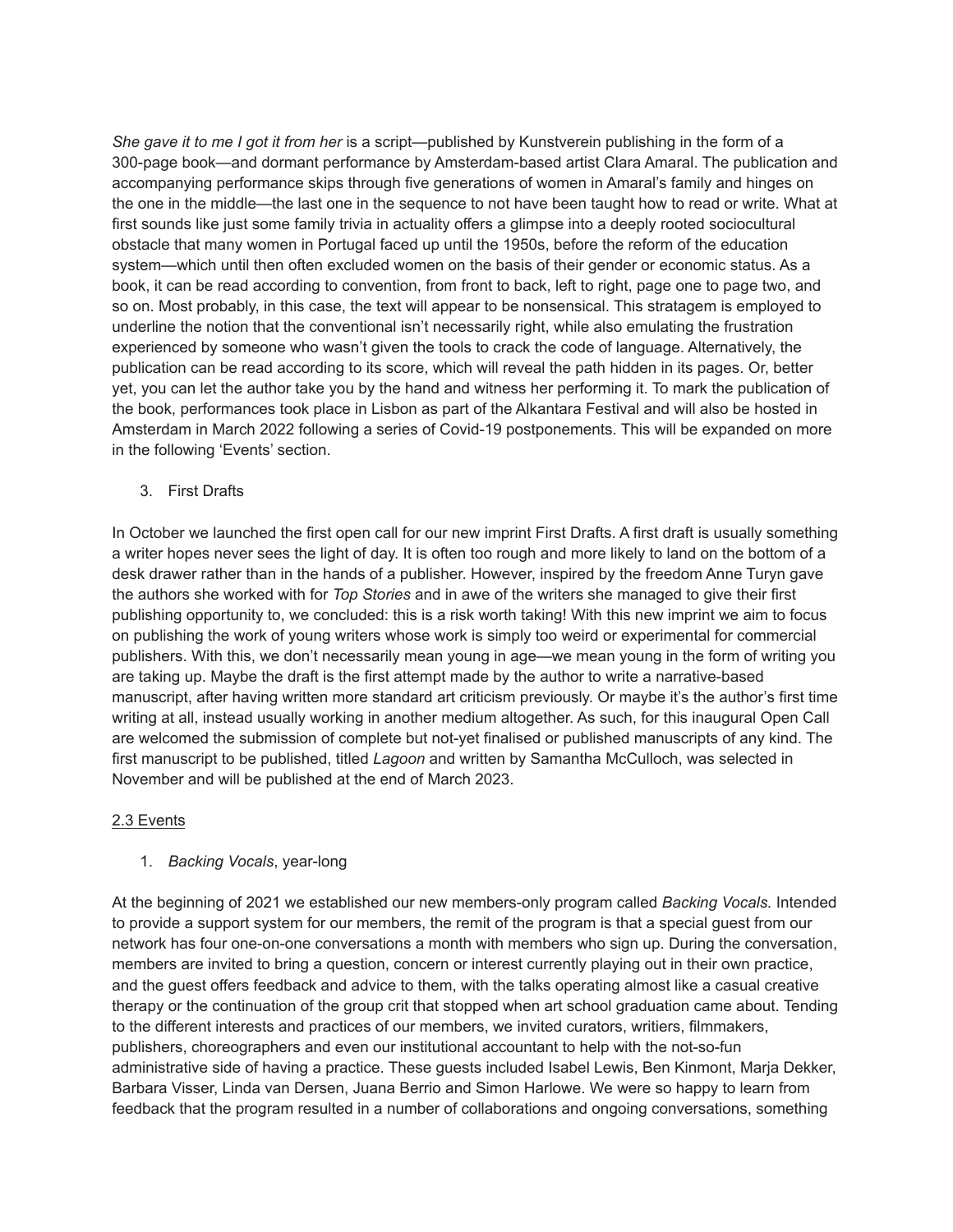*She gave it to me I got it from her* is a script—published by Kunstverein publishing in the form of a 300-page book—and dormant performance by Amsterdam-based artist Clara Amaral. The publication and accompanying performance skips through five generations of women in Amaral's family and hinges on the one in the middle—the last one in the sequence to not have been taught how to read or write. What at first sounds like just some family trivia in actuality offers a glimpse into a deeply rooted sociocultural obstacle that many women in Portugal faced up until the 1950s, before the reform of the education system—which until then often excluded women on the basis of their gender or economic status. As a book, it can be read according to convention, from front to back, left to right, page one to page two, and so on. Most probably, in this case, the text will appear to be nonsensical. This stratagem is employed to underline the notion that the conventional isn't necessarily right, while also emulating the frustration experienced by someone who wasn't given the tools to crack the code of language. Alternatively, the publication can be read according to its score, which will reveal the path hidden in its pages. Or, better yet, you can let the author take you by the hand and witness her performing it. To mark the publication of the book, performances took place in Lisbon as part of the Alkantara Festival and will also be hosted in Amsterdam in March 2022 following a series of Covid-19 postponements. This will be expanded on more in the following 'Events' section.

3. First Drafts

In October we launched the first open call for our new imprint First Drafts. A first draft is usually something a writer hopes never sees the light of day. It is often too rough and more likely to land on the bottom of a desk drawer rather than in the hands of a publisher. However, inspired by the freedom Anne Turyn gave the authors she worked with for *Top Stories* and in awe of the writers she managed to give their first publishing opportunity to, we concluded: this is a risk worth taking! With this new imprint we aim to focus on publishing the work of young writers whose work is simply too weird or experimental for commercial publishers. With this, we don't necessarily mean young in age—we mean young in the form of writing you are taking up. Maybe the draft is the first attempt made by the author to write a narrative-based manuscript, after having written more standard art criticism previously. Or maybe it's the author's first time writing at all, instead usually working in another medium altogether. As such, for this inaugural Open Call are welcomed the submission of complete but not-yet finalised or published manuscripts of any kind. The first manuscript to be published, titled *Lagoon* and written by Samantha McCulloch, was selected in November and will be published at the end of March 2023.

# 2.3 Events

# 1. *Backing Vocals*, year-long

At the beginning of 2021 we established our new members-only program called *Backing Vocals.* Intended to provide a support system for our members, the remit of the program is that a special guest from our network has four one-on-one conversations a month with members who sign up. During the conversation, members are invited to bring a question, concern or interest currently playing out in their own practice, and the guest offers feedback and advice to them, with the talks operating almost like a casual creative therapy or the continuation of the group crit that stopped when art school graduation came about. Tending to the different interests and practices of our members, we invited curators, writiers, filmmakers, publishers, choreographers and even our institutional accountant to help with the not-so-fun administrative side of having a practice. These guests included Isabel Lewis, Ben Kinmont, Marja Dekker, Barbara Visser, Linda van Dersen, Juana Berrio and Simon Harlowe. We were so happy to learn from feedback that the program resulted in a number of collaborations and ongoing conversations, something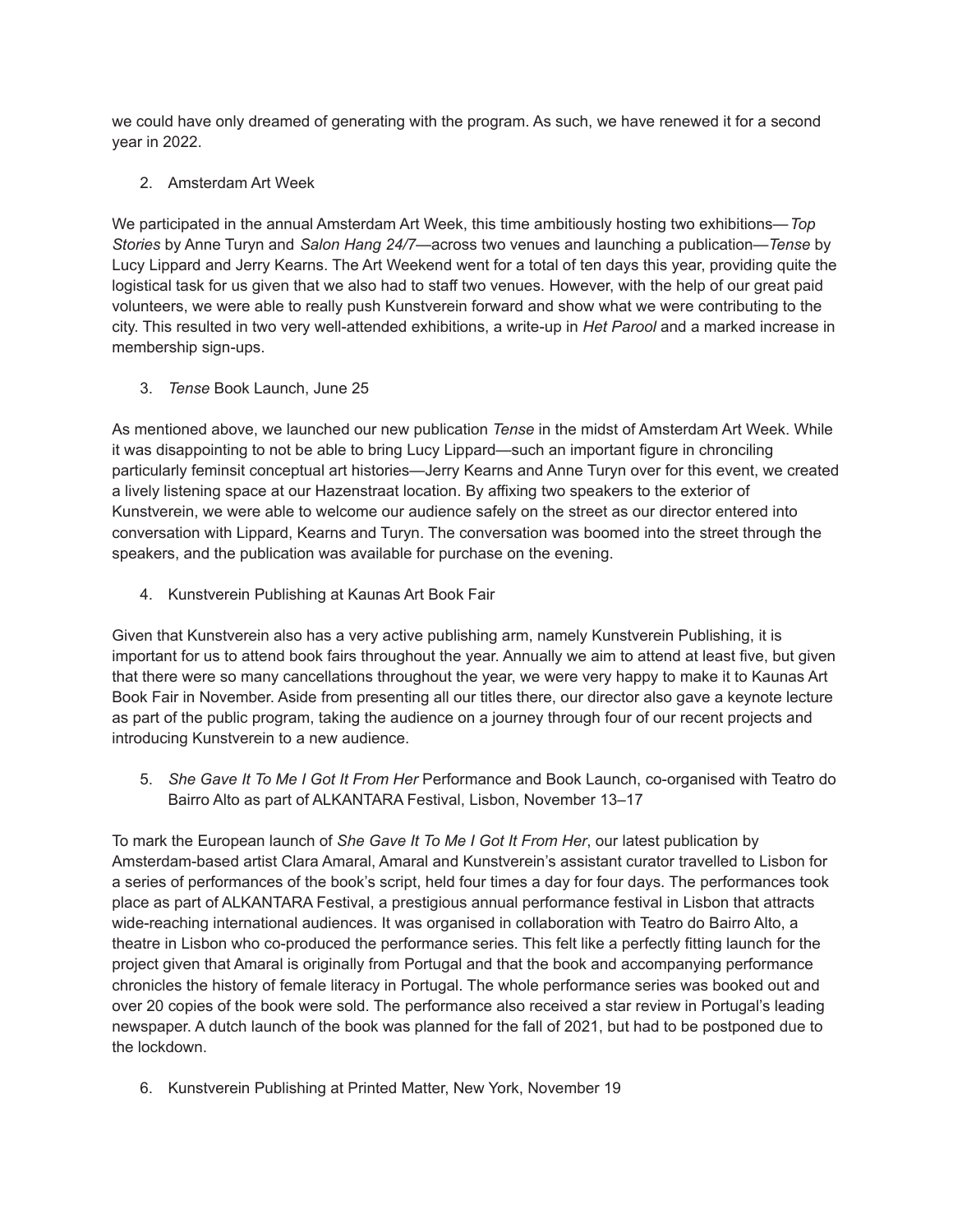we could have only dreamed of generating with the program. As such, we have renewed it for a second year in 2022.

2. Amsterdam Art Week

We participated in the annual Amsterdam Art Week, this time ambitiously hosting two exhibitions—*Top Stories* by Anne Turyn and *Salon Hang 24/7*—across two venues and launching a publication—*Tense* by Lucy Lippard and Jerry Kearns. The Art Weekend went for a total of ten days this year, providing quite the logistical task for us given that we also had to staff two venues. However, with the help of our great paid volunteers, we were able to really push Kunstverein forward and show what we were contributing to the city. This resulted in two very well-attended exhibitions, a write-up in *Het Parool* and a marked increase in membership sign-ups.

3. *Tense* Book Launch, June 25

As mentioned above, we launched our new publication *Tense* in the midst of Amsterdam Art Week. While it was disappointing to not be able to bring Lucy Lippard—such an important figure in chronciling particularly feminsit conceptual art histories—Jerry Kearns and Anne Turyn over for this event, we created a lively listening space at our Hazenstraat location. By affixing two speakers to the exterior of Kunstverein, we were able to welcome our audience safely on the street as our director entered into conversation with Lippard, Kearns and Turyn. The conversation was boomed into the street through the speakers, and the publication was available for purchase on the evening.

4. Kunstverein Publishing at Kaunas Art Book Fair

Given that Kunstverein also has a very active publishing arm, namely Kunstverein Publishing, it is important for us to attend book fairs throughout the year. Annually we aim to attend at least five, but given that there were so many cancellations throughout the year, we were very happy to make it to Kaunas Art Book Fair in November. Aside from presenting all our titles there, our director also gave a keynote lecture as part of the public program, taking the audience on a journey through four of our recent projects and introducing Kunstverein to a new audience.

5. *She Gave It To Me I Got It From Her* Performance and Book Launch, co-organised with Teatro do Bairro Alto as part of ALKANTARA Festival, Lisbon, November 13–17

To mark the European launch of *She Gave It To Me I Got It From Her*, our latest publication by Amsterdam-based artist Clara Amaral, Amaral and Kunstverein's assistant curator travelled to Lisbon for a series of performances of the book's script, held four times a day for four days. The performances took place as part of ALKANTARA Festival, a prestigious annual performance festival in Lisbon that attracts wide-reaching international audiences. It was organised in collaboration with Teatro do Bairro Alto, a theatre in Lisbon who co-produced the performance series. This felt like a perfectly fitting launch for the project given that Amaral is originally from Portugal and that the book and accompanying performance chronicles the history of female literacy in Portugal. The whole performance series was booked out and over 20 copies of the book were sold. The performance also received a star review in Portugal's leading newspaper. A dutch launch of the book was planned for the fall of 2021, but had to be postponed due to the lockdown.

6. Kunstverein Publishing at Printed Matter, New York, November 19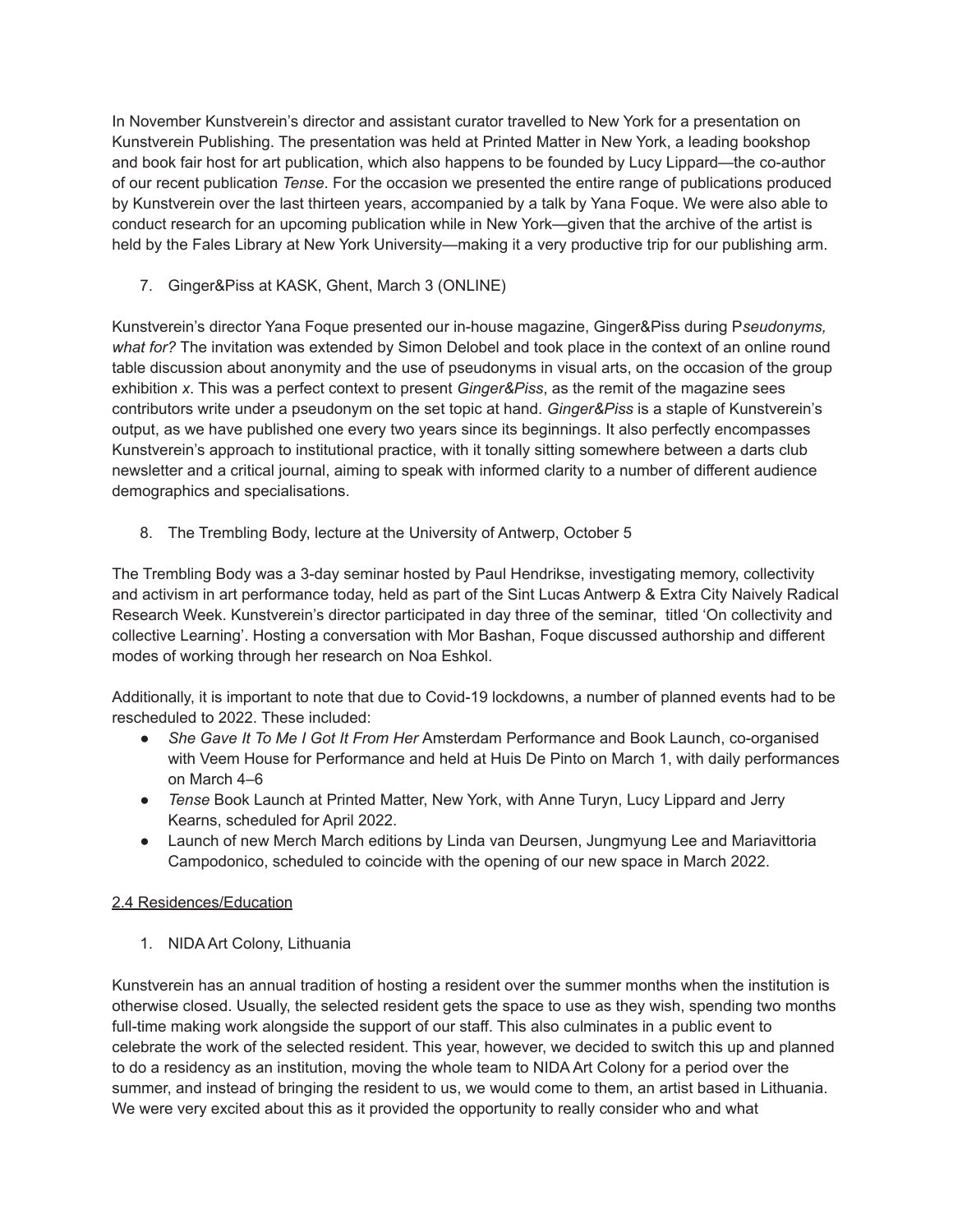In November Kunstverein's director and assistant curator travelled to New York for a presentation on Kunstverein Publishing. The presentation was held at Printed Matter in New York, a leading bookshop and book fair host for art publication, which also happens to be founded by Lucy Lippard—the co-author of our recent publication *Tense*. For the occasion we presented the entire range of publications produced by Kunstverein over the last thirteen years, accompanied by a talk by Yana Foque. We were also able to conduct research for an upcoming publication while in New York—given that the archive of the artist is held by the Fales Library at New York University—making it a very productive trip for our publishing arm.

7. Ginger&Piss at KASK, Ghent, March 3 (ONLINE)

Kunstverein's director Yana Foque presented our in-house magazine, Ginger&Piss during P*seudonyms, what for?* The invitation was extended by Simon Delobel and took place in the context of an online round table discussion about anonymity and the use of pseudonyms in visual arts, on the occasion of the group exhibition *[x](https://kiosk.art/x-exhibition)*. This was a perfect context to present *Ginger&Piss*, as the remit of the magazine sees contributors write under a pseudonym on the set topic at hand. *Ginger&Piss* is a staple of Kunstverein's output, as we have published one every two years since its beginnings. It also perfectly encompasses Kunstverein's approach to institutional practice, with it tonally sitting somewhere between a darts club newsletter and a critical journal, aiming to speak with informed clarity to a number of different audience demographics and specialisations.

8. The Trembling Body, lecture at the University of Antwerp, October 5

The Trembling Body was a 3-day seminar hosted by Paul Hendrikse, investigating memory, collectivity and activism in art performance today, held as part of the Sint Lucas Antwerp & Extra City Naively Radical Research Week. Kunstverein's director participated in day three of the seminar, titled 'On collectivity and collective Learning'. Hosting a conversation with Mor Bashan, Foque discussed authorship and different modes of working through her research on Noa Eshkol.

Additionally, it is important to note that due to Covid-19 lockdowns, a number of planned events had to be rescheduled to 2022. These included:

- *She Gave It To Me I Got It From Her* Amsterdam Performance and Book Launch, co-organised with Veem House for Performance and held at Huis De Pinto on March 1, with daily performances on March 4–6
- *Tense* Book Launch at Printed Matter, New York, with Anne Turyn, Lucy Lippard and Jerry Kearns, scheduled for April 2022.
- Launch of new Merch March editions by Linda van Deursen, Jungmyung Lee and Mariavittoria Campodonico, scheduled to coincide with the opening of our new space in March 2022.

# 2.4 Residences/Education

1. NIDA Art Colony, Lithuania

Kunstverein has an annual tradition of hosting a resident over the summer months when the institution is otherwise closed. Usually, the selected resident gets the space to use as they wish, spending two months full-time making work alongside the support of our staff. This also culminates in a public event to celebrate the work of the selected resident. This year, however, we decided to switch this up and planned to do a residency as an institution, moving the whole team to NIDA Art Colony for a period over the summer, and instead of bringing the resident to us, we would come to them, an artist based in Lithuania. We were very excited about this as it provided the opportunity to really consider who and what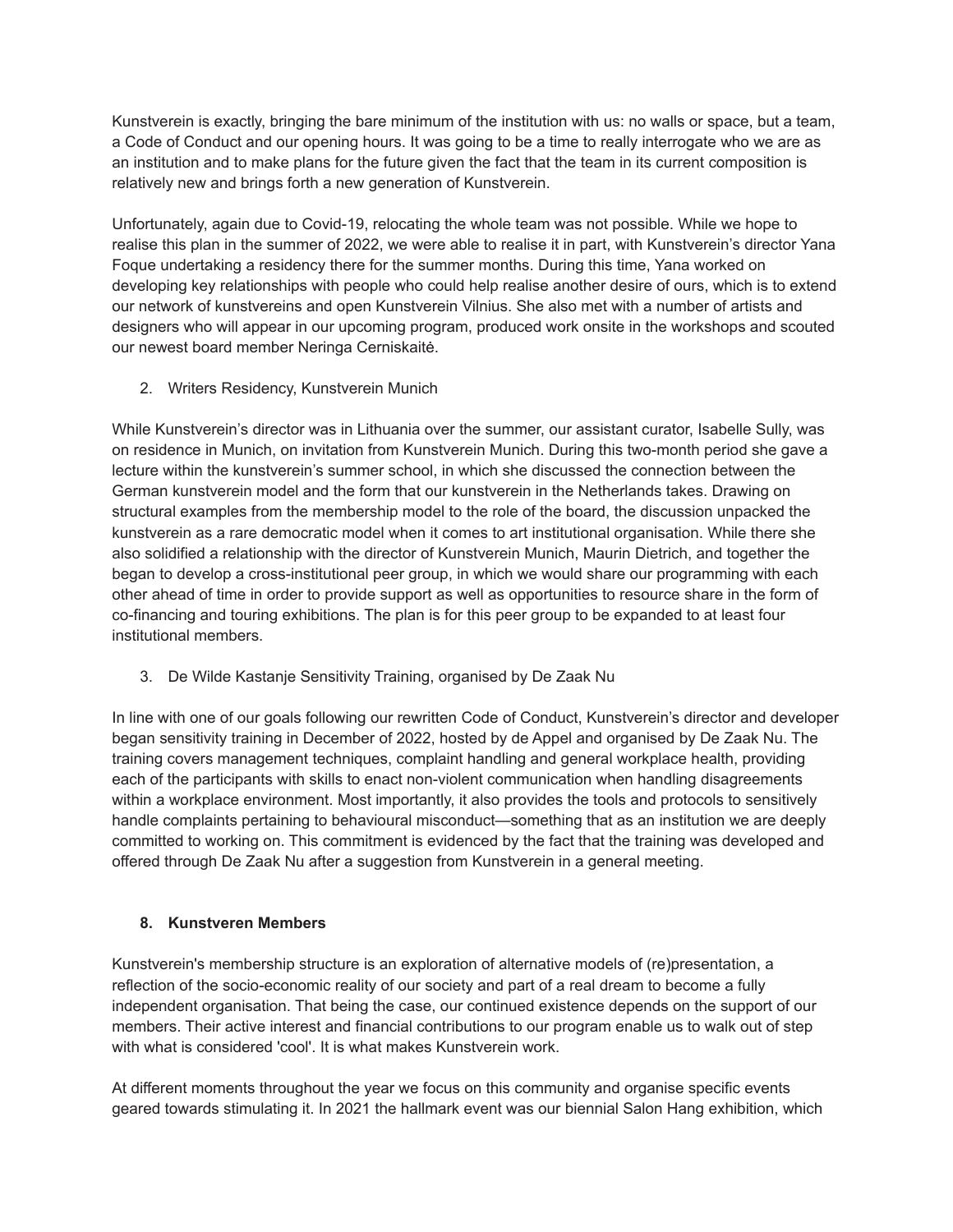Kunstverein is exactly, bringing the bare minimum of the institution with us: no walls or space, but a team, a Code of Conduct and our opening hours. It was going to be a time to really interrogate who we are as an institution and to make plans for the future given the fact that the team in its current composition is relatively new and brings forth a new generation of Kunstverein.

Unfortunately, again due to Covid-19, relocating the whole team was not possible. While we hope to realise this plan in the summer of 2022, we were able to realise it in part, with Kunstverein's director Yana Foque undertaking a residency there for the summer months. During this time, Yana worked on developing key relationships with people who could help realise another desire of ours, which is to extend our network of kunstvereins and open Kunstverein Vilnius. She also met with a number of artists and designers who will appear in our upcoming program, produced work onsite in the workshops and scouted our newest board member Neringa Cerniskaitė.

2. Writers Residency, Kunstverein Munich

While Kunstverein's director was in Lithuania over the summer, our assistant curator, Isabelle Sully, was on residence in Munich, on invitation from Kunstverein Munich. During this two-month period she gave a lecture within the kunstverein's summer school, in which she discussed the connection between the German kunstverein model and the form that our kunstverein in the Netherlands takes. Drawing on structural examples from the membership model to the role of the board, the discussion unpacked the kunstverein as a rare democratic model when it comes to art institutional organisation. While there she also solidified a relationship with the director of Kunstverein Munich, Maurin Dietrich, and together the began to develop a cross-institutional peer group, in which we would share our programming with each other ahead of time in order to provide support as well as opportunities to resource share in the form of co-financing and touring exhibitions. The plan is for this peer group to be expanded to at least four institutional members.

3. De Wilde Kastanje Sensitivity Training, organised by De Zaak Nu

In line with one of our goals following our rewritten Code of Conduct, Kunstverein's director and developer began sensitivity training in December of 2022, hosted by de Appel and organised by De Zaak Nu. The training covers management techniques, complaint handling and general workplace health, providing each of the participants with skills to enact non-violent communication when handling disagreements within a workplace environment. Most importantly, it also provides the tools and protocols to sensitively handle complaints pertaining to behavioural misconduct—something that as an institution we are deeply committed to working on. This commitment is evidenced by the fact that the training was developed and offered through De Zaak Nu after a suggestion from Kunstverein in a general meeting.

# **8. Kunstveren Members**

Kunstverein's membership structure is an exploration of alternative models of (re)presentation, a reflection of the socio-economic reality of our society and part of a real dream to become a fully independent organisation. That being the case, our continued existence depends on the support of our members. Their active interest and financial contributions to our program enable us to walk out of step with what is considered 'cool'. It is what makes Kunstverein work.

At different moments throughout the year we focus on this community and organise specific events geared towards stimulating it. In 2021 the hallmark event was our biennial Salon Hang exhibition, which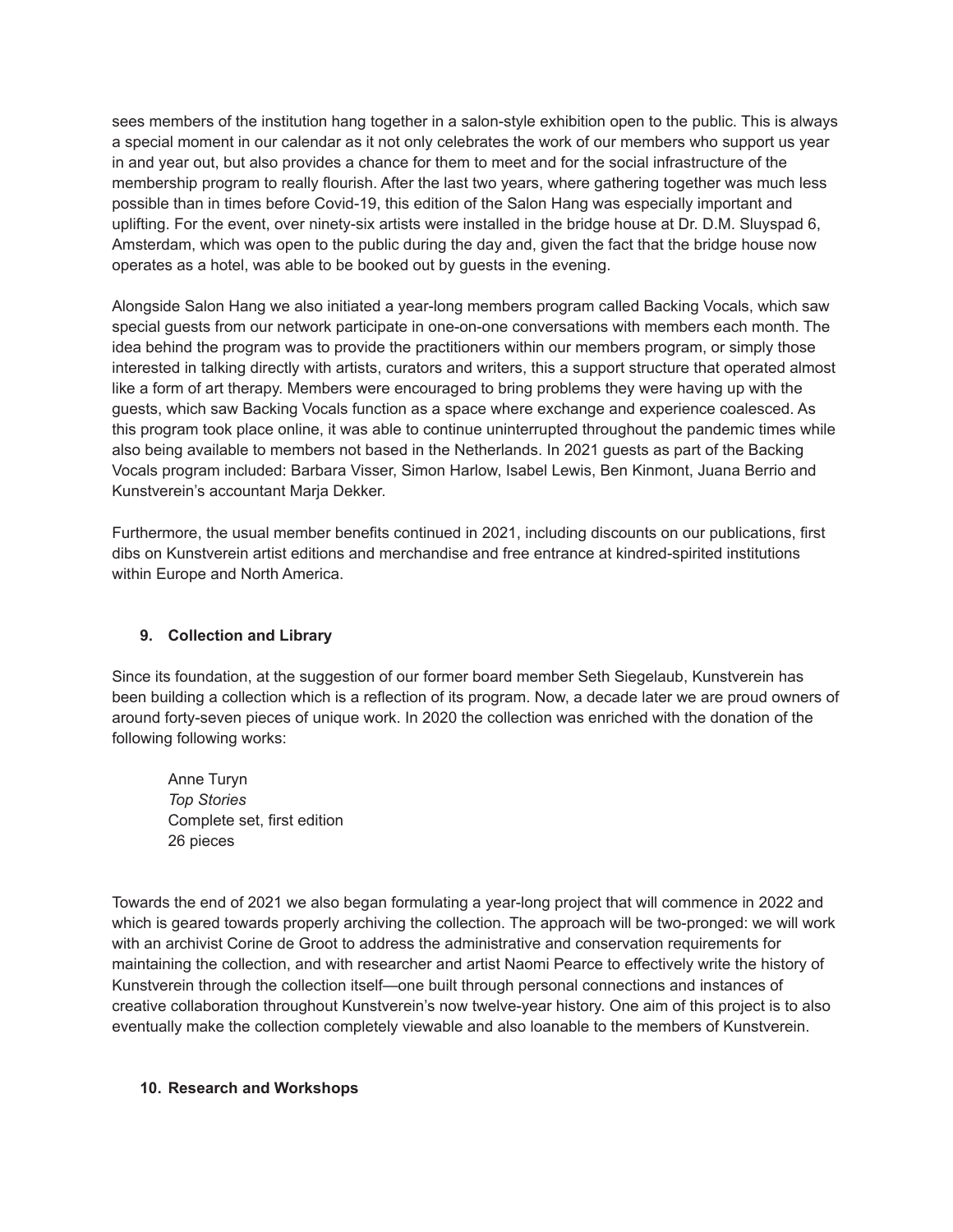sees members of the institution hang together in a salon-style exhibition open to the public. This is always a special moment in our calendar as it not only celebrates the work of our members who support us year in and year out, but also provides a chance for them to meet and for the social infrastructure of the membership program to really flourish. After the last two years, where gathering together was much less possible than in times before Covid-19, this edition of the Salon Hang was especially important and uplifting. For the event, over ninety-six artists were installed in the bridge house at Dr. D.M. Sluyspad 6, Amsterdam, which was open to the public during the day and, given the fact that the bridge house now operates as a hotel, was able to be booked out by guests in the evening.

Alongside Salon Hang we also initiated a year-long members program called Backing Vocals, which saw special guests from our network participate in one-on-one conversations with members each month. The idea behind the program was to provide the practitioners within our members program, or simply those interested in talking directly with artists, curators and writers, this a support structure that operated almost like a form of art therapy. Members were encouraged to bring problems they were having up with the guests, which saw Backing Vocals function as a space where exchange and experience coalesced. As this program took place online, it was able to continue uninterrupted throughout the pandemic times while also being available to members not based in the Netherlands. In 2021 guests as part of the Backing Vocals program included: Barbara Visser, Simon Harlow, Isabel Lewis, Ben Kinmont, Juana Berrio and Kunstverein's accountant Marja Dekker.

Furthermore, the usual member benefits continued in 2021, including discounts on our publications, first dibs on Kunstverein artist editions and merchandise and free entrance at kindred-spirited institutions within Europe and North America.

# **9. Collection and Library**

Since its foundation, at the suggestion of our former board member Seth Siegelaub, Kunstverein has been building a collection which is a reflection of its program. Now, a decade later we are proud owners of around forty-seven pieces of unique work. In 2020 the collection was enriched with the donation of the following following works:

Anne Turyn *Top Stories* Complete set, first edition 26 pieces

Towards the end of 2021 we also began formulating a year-long project that will commence in 2022 and which is geared towards properly archiving the collection. The approach will be two-pronged: we will work with an archivist Corine de Groot to address the administrative and conservation requirements for maintaining the collection, and with researcher and artist Naomi Pearce to effectively write the history of Kunstverein through the collection itself—one built through personal connections and instances of creative collaboration throughout Kunstverein's now twelve-year history. One aim of this project is to also eventually make the collection completely viewable and also loanable to the members of Kunstverein.

### **10. Research and Workshops**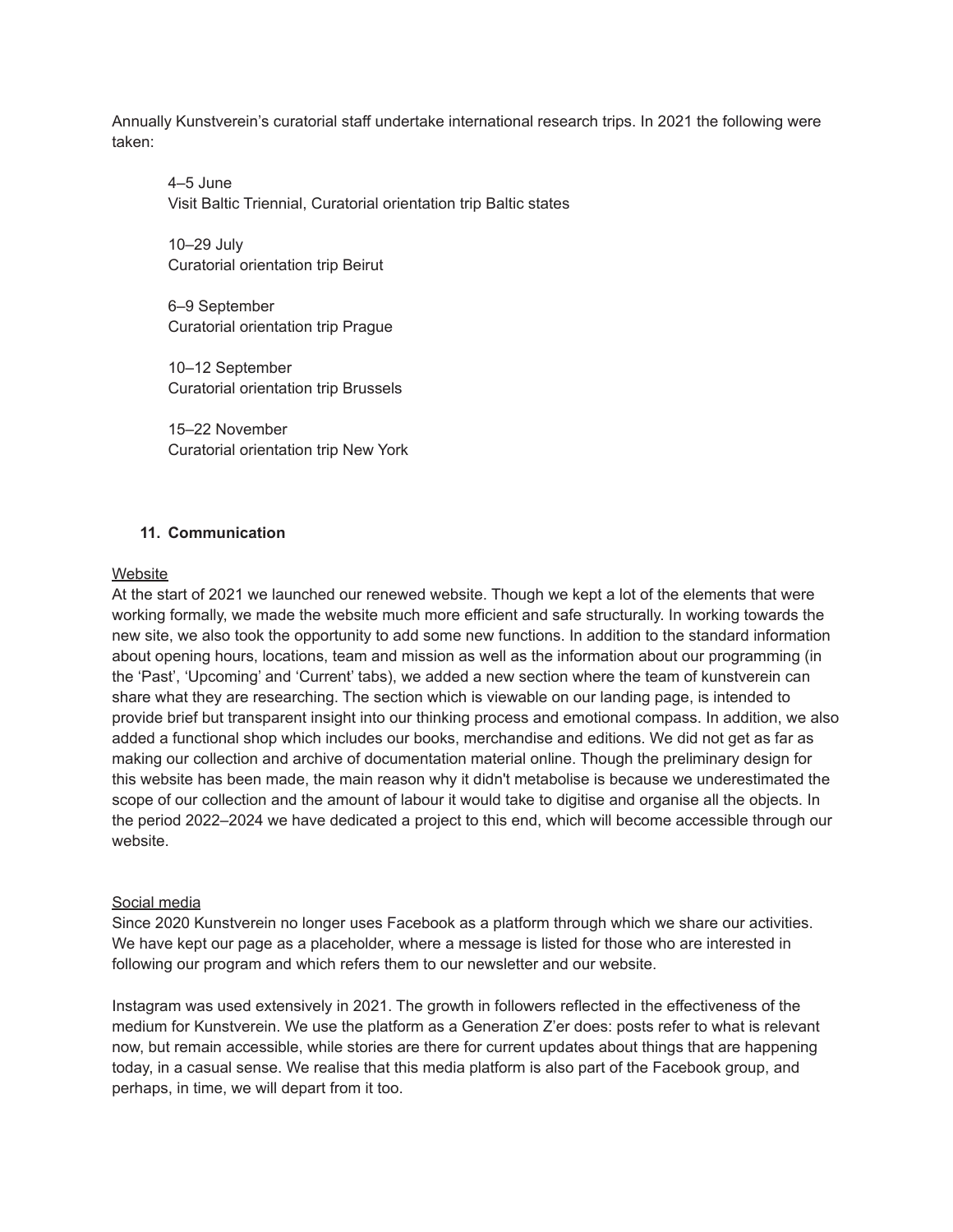Annually Kunstverein's curatorial staff undertake international research trips. In 2021 the following were taken:

 $4-5$  June Visit Baltic Triennial, Curatorial orientation trip Baltic states

10–29 July Curatorial orientation trip Beirut

6–9 September Curatorial orientation trip Prague

10–12 September Curatorial orientation trip Brussels

15–22 November Curatorial orientation trip New York

## **11. Communication**

### **Website**

At the start of 2021 we launched our renewed website. Though we kept a lot of the elements that were working formally, we made the website much more efficient and safe structurally. In working towards the new site, we also took the opportunity to add some new functions. In addition to the standard information about opening hours, locations, team and mission as well as the information about our programming (in the 'Past', 'Upcoming' and 'Current' tabs), we added a new section where the team of kunstverein can share what they are researching. The section which is viewable on our landing page, is intended to provide brief but transparent insight into our thinking process and emotional compass. In addition, we also added a functional shop which includes our books, merchandise and editions. We did not get as far as making our collection and archive of documentation material online. Though the preliminary design for this website has been made, the main reason why it didn't metabolise is because we underestimated the scope of our collection and the amount of labour it would take to digitise and organise all the objects. In the period 2022–2024 we have dedicated a project to this end, which will become accessible through our website.

### Social media

Since 2020 Kunstverein no longer uses Facebook as a platform through which we share our activities. We have kept our page as a placeholder, where a message is listed for those who are interested in following our program and which refers them to our newsletter and our website.

Instagram was used extensively in 2021. The growth in followers reflected in the effectiveness of the medium for Kunstverein. We use the platform as a Generation Z'er does: posts refer to what is relevant now, but remain accessible, while stories are there for current updates about things that are happening today, in a casual sense. We realise that this media platform is also part of the Facebook group, and perhaps, in time, we will depart from it too.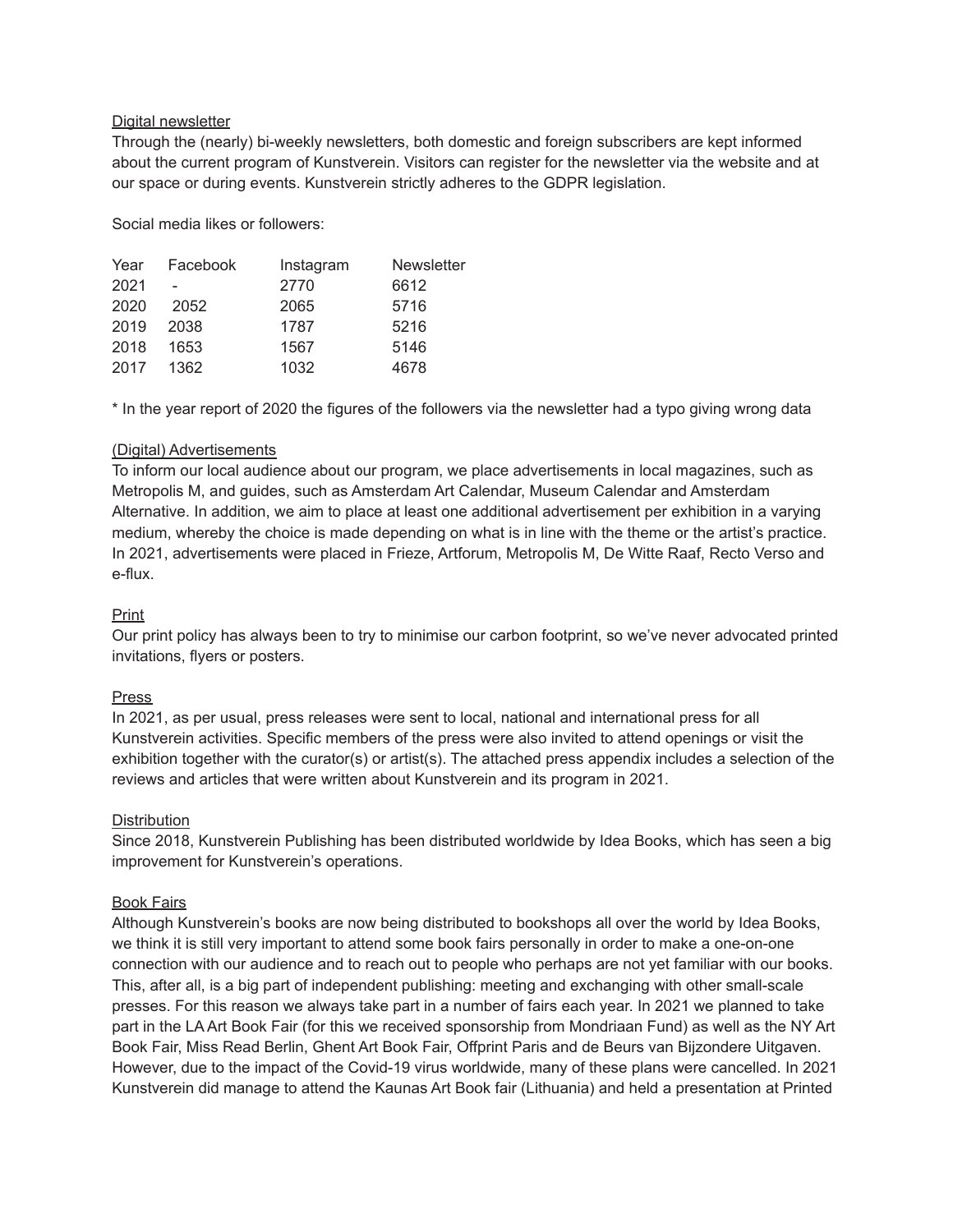### Digital newsletter

Through the (nearly) bi-weekly newsletters, both domestic and foreign subscribers are kept informed about the current program of Kunstverein. Visitors can register for the newsletter via the website and at our space or during events. Kunstverein strictly adheres to the GDPR legislation.

Social media likes or followers:

| Year | Facebook | Instagram | <b>Newsletter</b> |
|------|----------|-----------|-------------------|
| 2021 |          | 2770      | 6612              |
| 2020 | 2052     | 2065      | 5716              |
| 2019 | 2038     | 1787      | 5216              |
| 2018 | 1653     | 1567      | 5146              |
| 2017 | 1362     | 1032      | 4678              |
|      |          |           |                   |

\* In the year report of 2020 the figures of the followers via the newsletter had a typo giving wrong data

### (Digital) Advertisements

To inform our local audience about our program, we place advertisements in local magazines, such as Metropolis M, and guides, such as Amsterdam Art Calendar, Museum Calendar and Amsterdam Alternative. In addition, we aim to place at least one additional advertisement per exhibition in a varying medium, whereby the choice is made depending on what is in line with the theme or the artist's practice. In 2021, advertisements were placed in Frieze, Artforum, Metropolis M, De Witte Raaf, Recto Verso and e-flux.

# Print

Our print policy has always been to try to minimise our carbon footprint, so we've never advocated printed invitations, flyers or posters.

### Press

In 2021, as per usual, press releases were sent to local, national and international press for all Kunstverein activities. Specific members of the press were also invited to attend openings or visit the exhibition together with the curator(s) or artist(s). The attached press appendix includes a selection of the reviews and articles that were written about Kunstverein and its program in 2021.

# **Distribution**

Since 2018, Kunstverein Publishing has been distributed worldwide by Idea Books, which has seen a big improvement for Kunstverein's operations.

# Book Fairs

Although Kunstverein's books are now being distributed to bookshops all over the world by Idea Books, we think it is still very important to attend some book fairs personally in order to make a one-on-one connection with our audience and to reach out to people who perhaps are not yet familiar with our books. This, after all, is a big part of independent publishing: meeting and exchanging with other small-scale presses. For this reason we always take part in a number of fairs each year. In 2021 we planned to take part in the LA Art Book Fair (for this we received sponsorship from Mondriaan Fund) as well as the NY Art Book Fair, Miss Read Berlin, Ghent Art Book Fair, Offprint Paris and de Beurs van Bijzondere Uitgaven. However, due to the impact of the Covid-19 virus worldwide, many of these plans were cancelled. In 2021 Kunstverein did manage to attend the Kaunas Art Book fair (Lithuania) and held a presentation at Printed